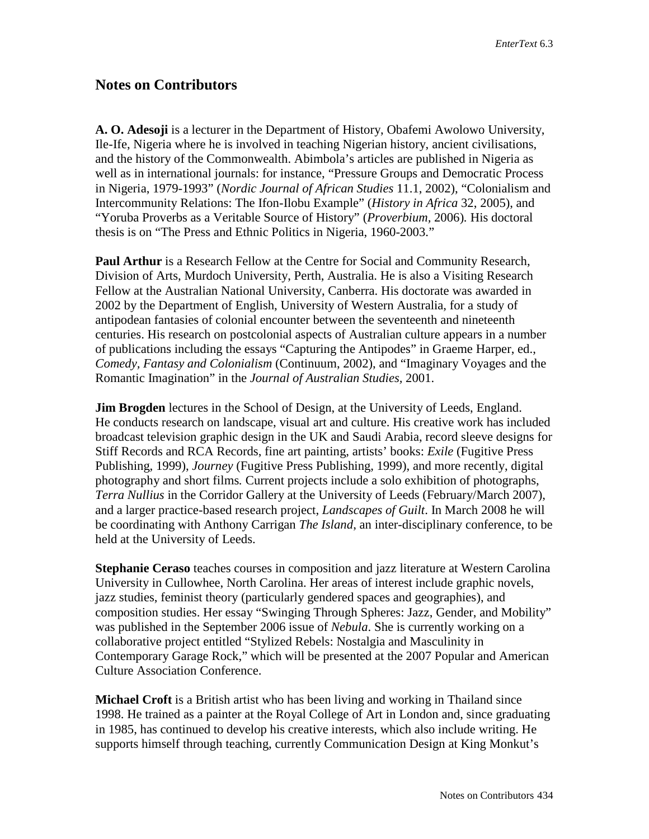## **Notes on Contributors**

**A. O. Adesoji** is a lecturer in the Department of History, Obafemi Awolowo University, Ile-Ife, Nigeria where he is involved in teaching Nigerian history, ancient civilisations, and the history of the Commonwealth. Abimbola's articles are published in Nigeria as well as in international journals: for instance, "Pressure Groups and Democratic Process in Nigeria, 1979-1993" (*Nordic Journal of African Studies* 11.1, 2002), "Colonialism and Intercommunity Relations: The Ifon-Ilobu Example" (*History in Africa* 32, 2005), and "Yoruba Proverbs as a Veritable Source of History" (*Proverbium,* 2006)*.* His doctoral thesis is on "The Press and Ethnic Politics in Nigeria, 1960-2003."

**Paul Arthur** is a Research Fellow at the Centre for Social and Community Research, Division of Arts, Murdoch University, Perth, Australia. He is also a Visiting Research Fellow at the Australian National University, Canberra. His doctorate was awarded in 2002 by the Department of English, University of Western Australia, for a study of antipodean fantasies of colonial encounter between the seventeenth and nineteenth centuries. His research on postcolonial aspects of Australian culture appears in a number of publications including the essays "Capturing the Antipodes" in Graeme Harper, ed., *Comedy, Fantasy and Colonialism* (Continuum, 2002), and "Imaginary Voyages and the Romantic Imagination" in the *Journal of Australian Studies,* 2001.

**Jim Brogden** lectures in the School of Design, at the University of Leeds, England. He conducts research on landscape, visual art and culture. His creative work has included broadcast television graphic design in the UK and Saudi Arabia, record sleeve designs for Stiff Records and RCA Records, fine art painting, artists' books: *Exile* (Fugitive Press Publishing, 1999), *Journey* (Fugitive Press Publishing, 1999), and more recently, digital photography and short films*.* Current projects include a solo exhibition of photographs, *Terra Nullius* in the Corridor Gallery at the University of Leeds (February/March 2007), and a larger practice-based research project, *Landscapes of Guilt*. In March 2008 he will be coordinating with Anthony Carrigan *The Island*, an inter-disciplinary conference, to be held at the University of Leeds.

**Stephanie Ceraso** teaches courses in composition and jazz literature at Western Carolina University in Cullowhee, North Carolina. Her areas of interest include graphic novels, jazz studies, feminist theory (particularly gendered spaces and geographies), and composition studies. Her essay "Swinging Through Spheres: Jazz, Gender, and Mobility" was published in the September 2006 issue of *Nebula*. She is currently working on a collaborative project entitled "Stylized Rebels: Nostalgia and Masculinity in Contemporary Garage Rock," which will be presented at the 2007 Popular and American Culture Association Conference.

**Michael Croft** is a British artist who has been living and working in Thailand since 1998. He trained as a painter at the Royal College of Art in London and, since graduating in 1985, has continued to develop his creative interests, which also include writing. He supports himself through teaching, currently Communication Design at King Monkut's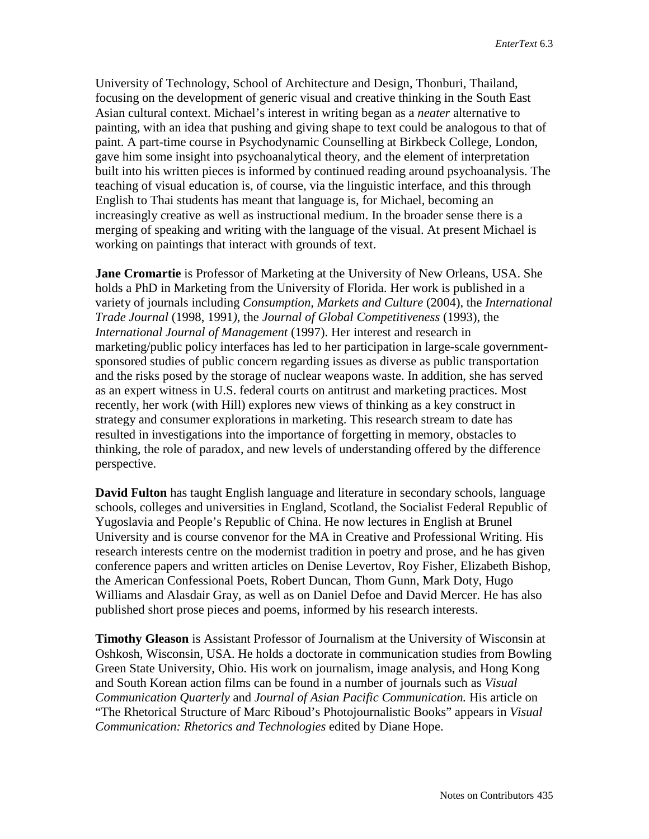University of Technology, School of Architecture and Design, Thonburi, Thailand, focusing on the development of generic visual and creative thinking in the South East Asian cultural context. Michael's interest in writing began as a *neater* alternative to painting, with an idea that pushing and giving shape to text could be analogous to that of paint. A part-time course in Psychodynamic Counselling at Birkbeck College, London, gave him some insight into psychoanalytical theory, and the element of interpretation built into his written pieces is informed by continued reading around psychoanalysis. The teaching of visual education is, of course, via the linguistic interface, and this through English to Thai students has meant that language is, for Michael, becoming an increasingly creative as well as instructional medium. In the broader sense there is a merging of speaking and writing with the language of the visual. At present Michael is working on paintings that interact with grounds of text.

**Jane Cromartie** is Professor of Marketing at the University of New Orleans, USA. She holds a PhD in Marketing from the University of Florida. Her work is published in a variety of journals including *Consumption, Markets and Culture* (2004), the *International Trade Journal* (1998, 1991*)*, the *Journal of Global Competitiveness* (1993), the *International Journal of Management* (1997). Her interest and research in marketing/public policy interfaces has led to her participation in large-scale governmentsponsored studies of public concern regarding issues as diverse as public transportation and the risks posed by the storage of nuclear weapons waste. In addition, she has served as an expert witness in U.S. federal courts on antitrust and marketing practices. Most recently, her work (with Hill) explores new views of thinking as a key construct in strategy and consumer explorations in marketing. This research stream to date has resulted in investigations into the importance of forgetting in memory, obstacles to thinking, the role of paradox, and new levels of understanding offered by the difference perspective.

**David Fulton** has taught English language and literature in secondary schools, language schools, colleges and universities in England, Scotland, the Socialist Federal Republic of Yugoslavia and People's Republic of China. He now lectures in English at Brunel University and is course convenor for the MA in Creative and Professional Writing. His research interests centre on the modernist tradition in poetry and prose, and he has given conference papers and written articles on Denise Levertov, Roy Fisher, Elizabeth Bishop, the American Confessional Poets, Robert Duncan, Thom Gunn, Mark Doty, Hugo Williams and Alasdair Gray, as well as on Daniel Defoe and David Mercer. He has also published short prose pieces and poems, informed by his research interests.

**Timothy Gleason** is Assistant Professor of Journalism at the University of Wisconsin at Oshkosh, Wisconsin, USA. He holds a doctorate in communication studies from Bowling Green State University, Ohio. His work on journalism, image analysis, and Hong Kong and South Korean action films can be found in a number of journals such as *Visual Communication Quarterly* and *Journal of Asian Pacific Communication.* His article on "The Rhetorical Structure of Marc Riboud's Photojournalistic Books" appears in *Visual Communication: Rhetorics and Technologies* edited by Diane Hope.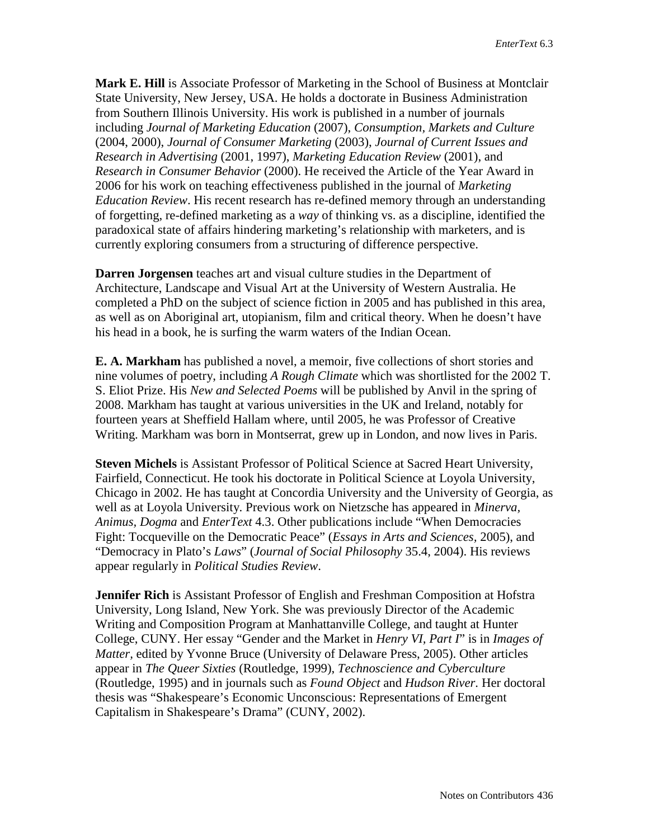**Mark E. Hill** is Associate Professor of Marketing in the School of Business at Montclair State University, New Jersey, USA. He holds a doctorate in Business Administration from Southern Illinois University. His work is published in a number of journals including *Journal of Marketing Education* (2007), *Consumption, Markets and Culture*  (2004, 2000), *Journal of Consumer Marketing* (2003), *Journal of Current Issues and Research in Advertising* (2001, 1997), *Marketing Education Review* (2001), and *Research in Consumer Behavior* (2000). He received the Article of the Year Award in 2006 for his work on teaching effectiveness published in the journal of *Marketing Education Review*. His recent research has re-defined memory through an understanding of forgetting, re-defined marketing as a *way* of thinking vs. as a discipline, identified the paradoxical state of affairs hindering marketing's relationship with marketers, and is currently exploring consumers from a structuring of difference perspective.

**Darren Jorgensen** teaches art and visual culture studies in the Department of Architecture, Landscape and Visual Art at the University of Western Australia. He completed a PhD on the subject of science fiction in 2005 and has published in this area, as well as on Aboriginal art, utopianism, film and critical theory. When he doesn't have his head in a book, he is surfing the warm waters of the Indian Ocean.

**E. A. Markham** has published a novel, a memoir, five collections of short stories and nine volumes of poetry, including *A Rough Climate* which was shortlisted for the 2002 T. S. Eliot Prize. His *New and Selected Poems* will be published by Anvil in the spring of 2008. Markham has taught at various universities in the UK and Ireland, notably for fourteen years at Sheffield Hallam where, until 2005, he was Professor of Creative Writing. Markham was born in Montserrat, grew up in London, and now lives in Paris.

**Steven Michels** is Assistant Professor of Political Science at Sacred Heart University, Fairfield, Connecticut. He took his doctorate in Political Science at Loyola University, Chicago in 2002. He has taught at Concordia University and the University of Georgia, as well as at Loyola University. Previous work on Nietzsche has appeared in *Minerva, Animus, Dogma* and *EnterText* 4.3. Other publications include "When Democracies Fight: Tocqueville on the Democratic Peace" (*Essays in Arts and Sciences,* 2005), and "Democracy in Plato's *Laws*" (*Journal of Social Philosophy* 35.4, 2004). His reviews appear regularly in *Political Studies Review*.

**Jennifer Rich** is Assistant Professor of English and Freshman Composition at Hofstra University, Long Island, New York. She was previously Director of the Academic Writing and Composition Program at Manhattanville College, and taught at Hunter College, CUNY. Her essay "Gender and the Market in *Henry VI, Part I*" is in *Images of Matter,* edited by Yvonne Bruce (University of Delaware Press, 2005). Other articles appear in *The Queer Sixties* (Routledge, 1999), *Technoscience and Cyberculture*  (Routledge, 1995) and in journals such as *Found Object* and *Hudson River.* Her doctoral thesis was "Shakespeare's Economic Unconscious: Representations of Emergent Capitalism in Shakespeare's Drama" (CUNY, 2002).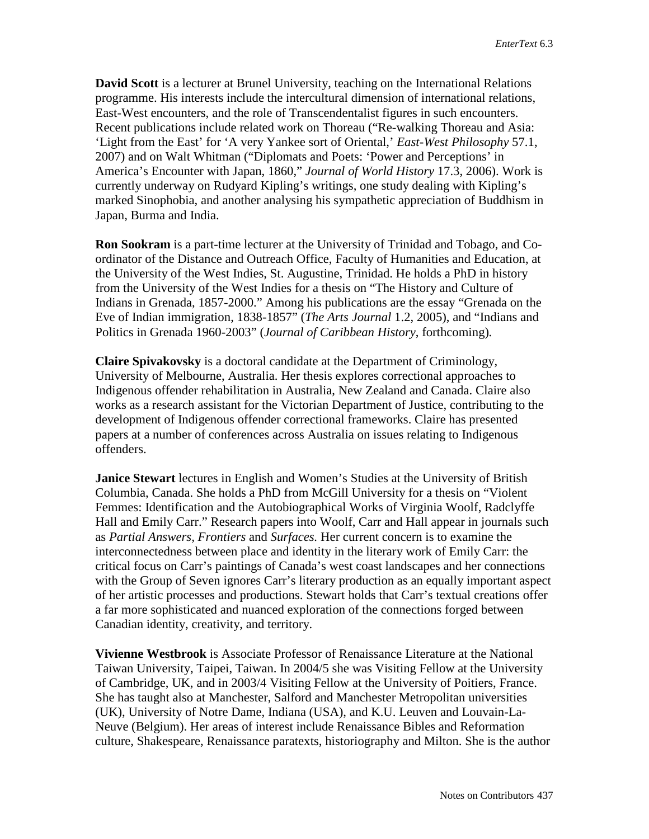**David Scott** is a lecturer at Brunel University, teaching on the International Relations programme. His interests include the intercultural dimension of international relations, East-West encounters, and the role of Transcendentalist figures in such encounters. Recent publications include related work on Thoreau ("Re-walking Thoreau and Asia: 'Light from the East' for 'A very Yankee sort of Oriental,' *East-West Philosophy* 57.1, 2007) and on Walt Whitman ("Diplomats and Poets: 'Power and Perceptions' in America's Encounter with Japan, 1860," *Journal of World History* 17.3, 2006). Work is currently underway on Rudyard Kipling's writings, one study dealing with Kipling's marked Sinophobia, and another analysing his sympathetic appreciation of Buddhism in Japan, Burma and India.

**Ron Sookram** is a part-time lecturer at the University of Trinidad and Tobago, and Coordinator of the Distance and Outreach Office, Faculty of Humanities and Education, at the University of the West Indies, St. Augustine, Trinidad. He holds a PhD in history from the University of the West Indies for a thesis on "The History and Culture of Indians in Grenada, 1857-2000." Among his publications are the essay "Grenada on the Eve of Indian immigration, 1838-1857" (*The Arts Journal* 1.2, 2005), and "Indians and Politics in Grenada 1960-2003" (*Journal of Caribbean History*, forthcoming)*.*

**Claire Spivakovsky** is a doctoral candidate at the Department of Criminology, University of Melbourne, Australia. Her thesis explores correctional approaches to Indigenous offender rehabilitation in Australia, New Zealand and Canada. Claire also works as a research assistant for the Victorian Department of Justice, contributing to the development of Indigenous offender correctional frameworks. Claire has presented papers at a number of conferences across Australia on issues relating to Indigenous offenders.

**Janice Stewart** lectures in English and Women's Studies at the University of British Columbia, Canada. She holds a PhD from McGill University for a thesis on "Violent Femmes: Identification and the Autobiographical Works of Virginia Woolf, Radclyffe Hall and Emily Carr." Research papers into Woolf, Carr and Hall appear in journals such as *Partial Answers, Frontiers* and *Surfaces.* Her current concern is to examine the interconnectedness between place and identity in the literary work of Emily Carr: the critical focus on Carr's paintings of Canada's west coast landscapes and her connections with the Group of Seven ignores Carr's literary production as an equally important aspect of her artistic processes and productions. Stewart holds that Carr's textual creations offer a far more sophisticated and nuanced exploration of the connections forged between Canadian identity, creativity, and territory.

**Vivienne Westbrook** is Associate Professor of Renaissance Literature at the National Taiwan University, Taipei, Taiwan. In 2004/5 she was Visiting Fellow at the University of Cambridge, UK, and in 2003/4 Visiting Fellow at the University of Poitiers, France. She has taught also at Manchester, Salford and Manchester Metropolitan universities (UK), University of Notre Dame, Indiana (USA), and K.U. Leuven and Louvain-La-Neuve (Belgium). Her areas of interest include Renaissance Bibles and Reformation culture, Shakespeare, Renaissance paratexts, historiography and Milton. She is the author